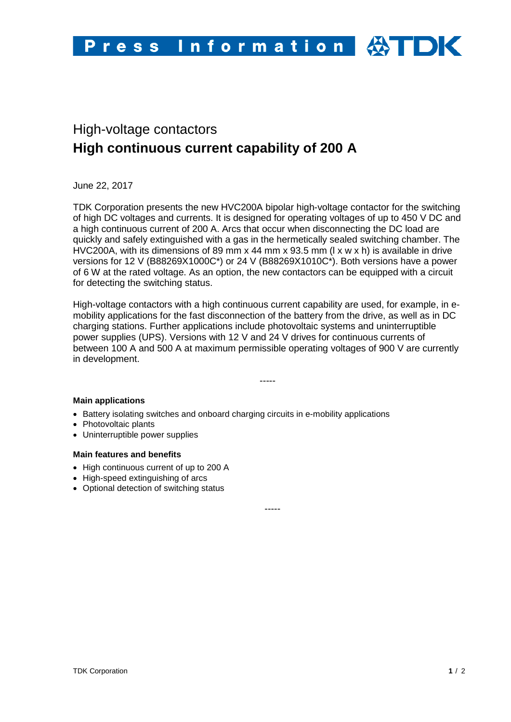# High-voltage contactors **High continuous current capability of 200 A**

June 22, 2017

TDK Corporation presents the new HVC200A bipolar high-voltage contactor for the switching of high DC voltages and currents. It is designed for operating voltages of up to 450 V DC and a high continuous current of 200 A. Arcs that occur when disconnecting the DC load are quickly and safely extinguished with a gas in the hermetically sealed switching chamber. The HVC200A, with its dimensions of 89 mm x 44 mm x 93.5 mm (l x w x h) is available in drive versions for 12 V (B88269X1000C\*) or 24 V (B88269X1010C\*). Both versions have a power of 6 W at the rated voltage. As an option, the new contactors can be equipped with a circuit for detecting the switching status.

High-voltage contactors with a high continuous current capability are used, for example, in emobility applications for the fast disconnection of the battery from the drive, as well as in DC charging stations. Further applications include photovoltaic systems and uninterruptible power supplies (UPS). Versions with 12 V and 24 V drives for continuous currents of between 100 A and 500 A at maximum permissible operating voltages of 900 V are currently in development.

-----

## **Main applications**

- Battery isolating switches and onboard charging circuits in e-mobility applications
- Photovoltaic plants
- Uninterruptible power supplies

#### **Main features and benefits**

- High continuous current of up to 200 A
- High-speed extinguishing of arcs
- Optional detection of switching status

-----